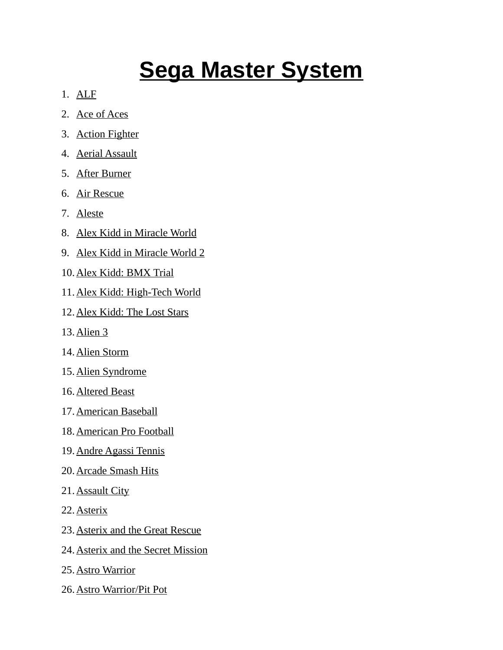## **Sega Master System**

- 1. ALF
- 2. Ace of Aces
- 3. Action Fighter
- 4. Aerial Assault
- 5. After Burner
- 6. Air Rescue
- 7. Aleste
- 8. Alex Kidd in Miracle World
- 9. Alex Kidd in Miracle World 2
- 10. Alex Kidd: BMX Trial
- 11. Alex Kidd: High-Tech World
- 12. Alex Kidd: The Lost Stars
- 13. Alien 3
- 14. Alien Storm
- 15. Alien Syndrome
- 16. Altered Beast
- 17. American Baseball
- 18. American Pro Football
- 19. Andre Agassi Tennis
- 20. Arcade Smash Hits
- 21. Assault City
- 22. Asterix
- 23. Asterix and the Great Rescue
- 24. Asterix and the Secret Mission
- 25. Astro Warrior
- 26. Astro Warrior/Pit Pot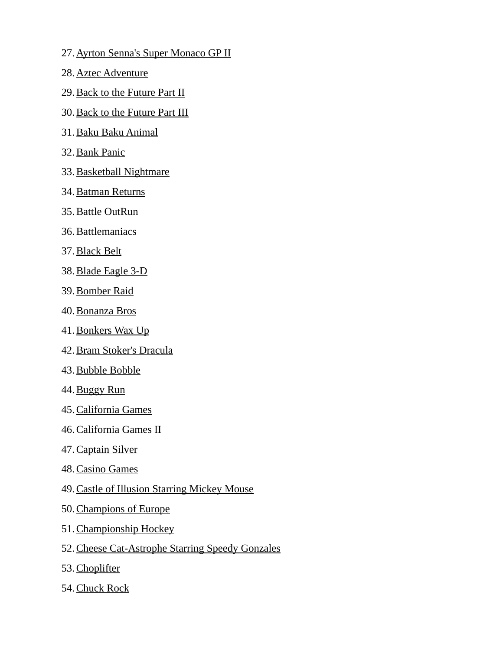- 27. Ayrton Senna's Super Monaco GP II
- 28. Aztec Adventure
- 29. Back to the Future Part II
- 30. Back to the Future Part III
- 31. Baku Baku Animal
- 32. Bank Panic
- 33. Basketball Nightmare
- 34. Batman Returns
- 35. Battle OutRun
- 36. Battlemaniacs
- 37. Black Belt
- 38. Blade Eagle 3-D
- 39. Bomber Raid
- 40. Bonanza Bros
- 41. Bonkers Wax Up
- 42. Bram Stoker's Dracula
- 43. Bubble Bobble
- 44. Buggy Run
- 45. California Games
- 46. California Games II
- 47. Captain Silver
- 48. Casino Games
- 49.Castle of Illusion Starring Mickey Mouse
- 50. Champions of Europe
- 51. Championship Hockey
- 52.Cheese Cat-Astrophe Starring Speedy Gonzales
- 53. Choplifter
- 54. Chuck Rock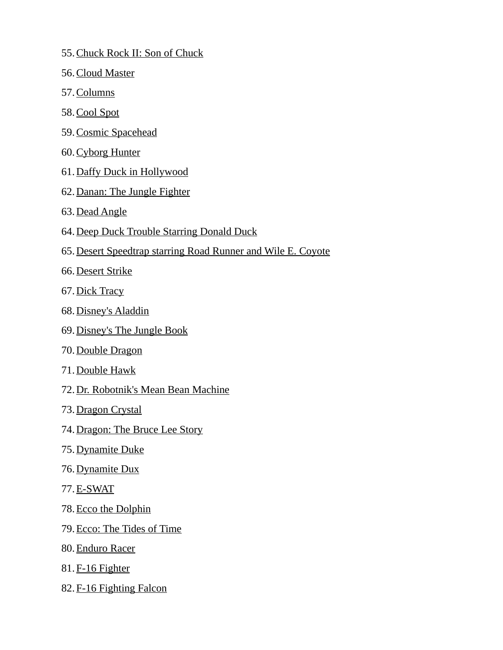- 55. Chuck Rock II: Son of Chuck
- 56. Cloud Master
- 57. Columns
- 58. Cool Spot
- 59. Cosmic Spacehead
- 60. Cyborg Hunter
- 61. Daffy Duck in Hollywood
- 62. Danan: The Jungle Fighter
- 63. Dead Angle
- 64.Deep Duck Trouble Starring Donald Duck
- 65.Desert Speedtrap starring Road Runner and Wile E. Coyote
- 66. Desert Strike
- 67. Dick Tracy
- 68. Disney's Aladdin
- 69. Disney's The Jungle Book
- 70. Double Dragon
- 71. Double Hawk
- 72. Dr. Robotnik's Mean Bean Machine
- 73. Dragon Crystal
- 74. Dragon: The Bruce Lee Story
- 75. Dynamite Duke
- 76. Dynamite Dux
- 77. E-SWAT
- 78. Ecco the Dolphin
- 79. Ecco: The Tides of Time
- 80. Enduro Racer
- 81. F-16 Fighter
- 82. F-16 Fighting Falcon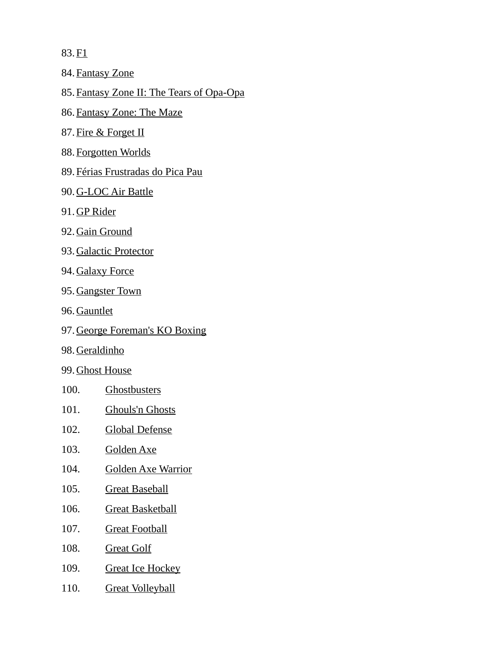83. F<sub>1</sub>

84. Fantasy Zone

85.Fantasy Zone II: The Tears of Opa-Opa

- 86. Fantasy Zone: The Maze
- 87. Fire & Forget II
- 88. Forgotten Worlds
- 89. Férias Frustradas do Pica Pau
- 90. G-LOC Air Battle
- 91. GP Rider
- 92. Gain Ground
- 93. Galactic Protector
- 94. Galaxy Force
- 95. Gangster Town
- 96. Gauntlet
- 97. George Foreman's KO Boxing
- 98. Geraldinho
- 99. Ghost House
- 100. Ghostbusters
- 101. Ghouls'n Ghosts
- 102. Global Defense
- 103. Golden Axe
- 104. Golden Axe Warrior
- 105. Great Baseball
- 106. Great Basketball
- 107. Great Football
- 108. Great Golf
- 109. Great Ice Hockey
- 110. Great Volleyball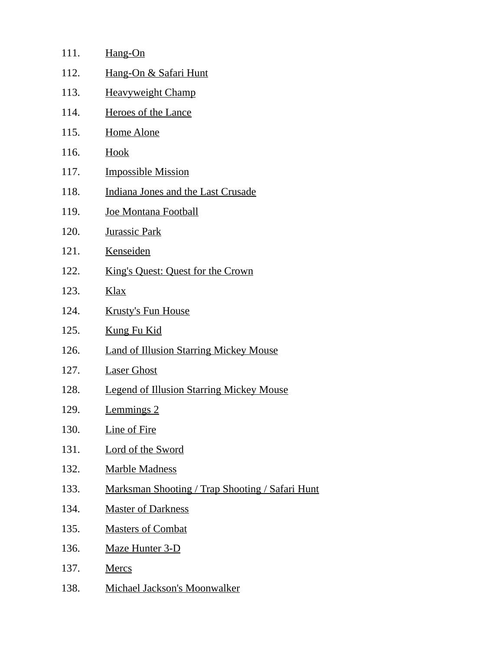| 111. | Hang-On                                         |
|------|-------------------------------------------------|
| 112. | Hang-On & Safari Hunt                           |
| 113. | <b>Heavyweight Champ</b>                        |
| 114. | <b>Heroes of the Lance</b>                      |
| 115. | <b>Home Alone</b>                               |
| 116. | Hook                                            |
| 117. | <b>Impossible Mission</b>                       |
| 118. | Indiana Jones and the Last Crusade              |
| 119. | Joe Montana Football                            |
| 120. | <b>Jurassic Park</b>                            |
| 121. | Kenseiden                                       |
| 122. | King's Quest: Quest for the Crown               |
| 123. | <u>Klax</u>                                     |
| 124. | <b>Krusty's Fun House</b>                       |
| 125. | <b>Kung Fu Kid</b>                              |
| 126. | <b>Land of Illusion Starring Mickey Mouse</b>   |
| 127. | <b>Laser Ghost</b>                              |
| 128. | <b>Legend of Illusion Starring Mickey Mouse</b> |
| 129. | <b>Lemmings 2</b>                               |
| 130. | <b>Line of Fire</b>                             |
| 131. | <b>Lord of the Sword</b>                        |
| 132. | <b>Marble Madness</b>                           |
| 133. | Marksman Shooting / Trap Shooting / Safari Hunt |
| 134. | <b>Master of Darkness</b>                       |
| 135. | <b>Masters of Combat</b>                        |
| 136. | <b>Maze Hunter 3-D</b>                          |
| 137. | <b>Mercs</b>                                    |
| 138. | Michael Jackson's Moonwalker                    |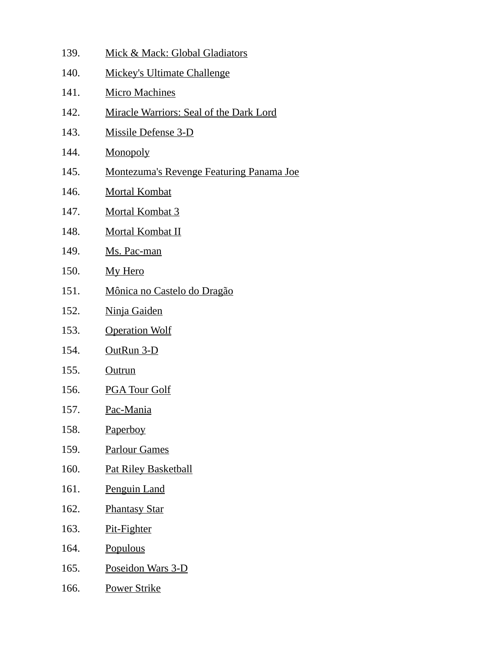139. Mick & Mack: Global Gladiators 140. Mickey's Ultimate Challenge 141. Micro Machines 142. Miracle Warriors: Seal of the Dark Lord 143. Missile Defense 3-D 144. Monopoly 145. Montezuma's Revenge Featuring Panama Joe 146. Mortal Kombat 147. Mortal Kombat 3 148. Mortal Kombat II 149. Ms. Pac-man 150. My Hero 151. Mônica no Castelo do Dragão 152. Ninja Gaiden 153. Operation Wolf 154. OutRun 3-D 155. Outrun 156. PGA Tour Golf 157. Pac-Mania 158. Paperboy 159. Parlour Games 160. Pat Riley Basketball 161. Penguin Land 162. Phantasy Star 163. Pit-Fighter 164. Populous 165. Poseidon Wars 3-D 166. Power Strike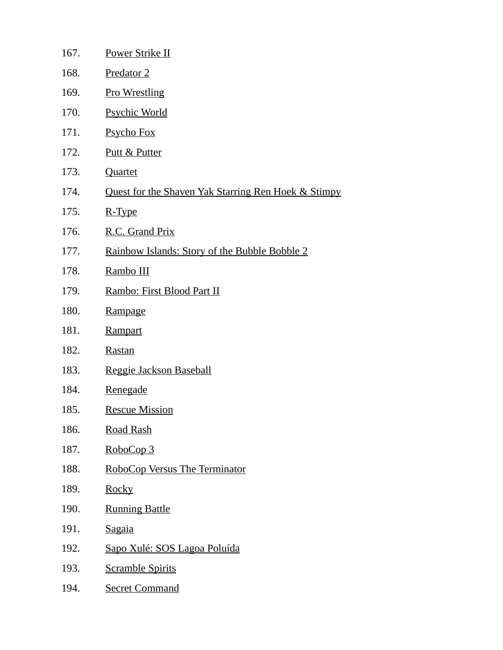| 167. | Power Strike II                                     |
|------|-----------------------------------------------------|
| 168. | Predator 2                                          |
| 169. | <b>Pro Wrestling</b>                                |
| 170. | <b>Psychic World</b>                                |
| 171. | <b>Psycho Fox</b>                                   |
| 172. | Putt & Putter                                       |
| 173. | Quartet                                             |
| 174. | Quest for the Shaven Yak Starring Ren Hoek & Stimpy |
| 175. | R-Type                                              |
| 176. | R.C. Grand Prix                                     |
| 177. | Rainbow Islands: Story of the Bubble Bobble 2       |
| 178. | Rambo III                                           |
| 179. | Rambo: First Blood Part II                          |
| 180. | Rampage                                             |
| 181. | Rampart                                             |
| 182. | <b>Rastan</b>                                       |
| 183. | Reggie Jackson Baseball                             |
| 184. | <b>Renegade</b>                                     |
| 185. | <b>Rescue Mission</b>                               |
| 186. | <b>Road Rash</b>                                    |
| 187. | RoboCop 3                                           |
| 188. | RoboCop Versus The Terminator                       |
| 189. | <b>Rocky</b>                                        |
| 190. | <b>Running Battle</b>                               |
| 191. | <b>Sagaia</b>                                       |
| 192. | Sapo Xulé: SOS Lagoa Poluída                        |
| 193. | <b>Scramble Spirits</b>                             |
| 194. | <b>Secret Command</b>                               |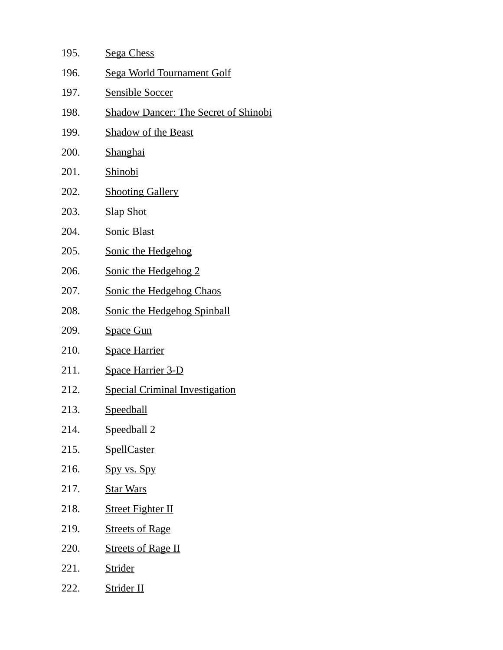| 195. | <b>Sega Chess</b>                           |
|------|---------------------------------------------|
| 196. | <u>Sega World Tournament Golf</u>           |
| 197. | <b>Sensible Soccer</b>                      |
| 198. | <b>Shadow Dancer: The Secret of Shinobi</b> |
| 199. | <u>Shadow of the Beast</u>                  |
| 200. | <b>Shanghai</b>                             |
| 201. | Shinobi                                     |
| 202. | <b>Shooting Gallery</b>                     |
| 203. | <b>Slap Shot</b>                            |
| 204. | <b>Sonic Blast</b>                          |
| 205. | <b>Sonic the Hedgehog</b>                   |
| 206. | <b>Sonic the Hedgehog 2</b>                 |
| 207. | Sonic the Hedgehog Chaos                    |
| 208. | <b>Sonic the Hedgehog Spinball</b>          |
| 209. | <b>Space Gun</b>                            |
| 210. | <b>Space Harrier</b>                        |
| 211. | <b>Space Harrier 3-D</b>                    |
| 212. | <b>Special Criminal Investigation</b>       |
| 213. | <u>Speedball</u>                            |
| 214. | Speedball 2                                 |
| 215. | <b>SpellCaster</b>                          |
| 216. | Spy vs. Spy                                 |
| 217. | <b>Star Wars</b>                            |
| 218. | <b>Street Fighter II</b>                    |
| 219. | <b>Streets of Rage</b>                      |
| 220. | <b>Streets of Rage II</b>                   |
| 221. | <b>Strider</b>                              |
| 222. | <b>Strider II</b>                           |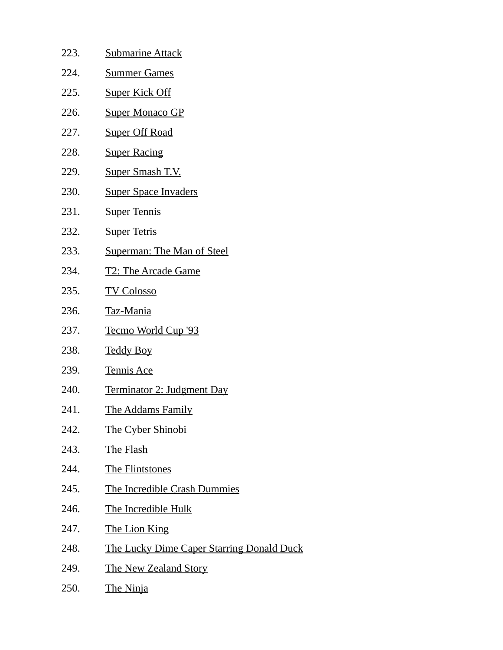| 223. | <b>Submarine Attack</b>                          |
|------|--------------------------------------------------|
| 224. | <b>Summer Games</b>                              |
| 225. | <b>Super Kick Off</b>                            |
| 226. | <b>Super Monaco GP</b>                           |
| 227. | <b>Super Off Road</b>                            |
| 228. | <b>Super Racing</b>                              |
| 229. | Super Smash T.V.                                 |
| 230. | <u>Super Space Invaders</u>                      |
| 231. | <b>Super Tennis</b>                              |
| 232. | <b>Super Tetris</b>                              |
| 233. | <b>Superman: The Man of Steel</b>                |
| 234. | <b>T2: The Arcade Game</b>                       |
| 235. | <b>TV Colosso</b>                                |
| 236. | Taz-Mania                                        |
| 237. | Tecmo World Cup '93                              |
| 238. | <b>Teddy Boy</b>                                 |
| 239. | <b>Tennis Ace</b>                                |
| 240. | <u>Terminator 2: Judgment Day</u>                |
| 241. | The Addams Family                                |
| 242. | <b>The Cyber Shinobi</b>                         |
| 243. | <b>The Flash</b>                                 |
| 244. | <b>The Flintstones</b>                           |
| 245. | <b>The Incredible Crash Dummies</b>              |
| 246. | <b>The Incredible Hulk</b>                       |
| 247. | <b>The Lion King</b>                             |
| 248. | <b>The Lucky Dime Caper Starring Donald Duck</b> |
| 249. | <b>The New Zealand Story</b>                     |
| 250. | The Ninja                                        |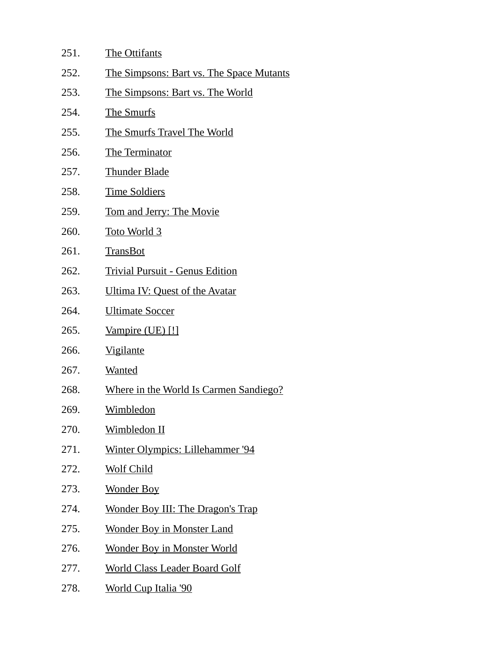| 251. | The Ottifants                            |
|------|------------------------------------------|
| 252. | The Simpsons: Bart vs. The Space Mutants |
| 253. | The Simpsons: Bart vs. The World         |
| 254. | The Smurfs                               |
| 255. | The Smurfs Travel The World              |
| 256. | The Terminator                           |
| 257. | <b>Thunder Blade</b>                     |
| 258. | <b>Time Soldiers</b>                     |
| 259. | <b>Tom and Jerry: The Movie</b>          |
| 260. | <u>Toto World 3</u>                      |
| 261. | <b>TransBot</b>                          |
| 262. | <b>Trivial Pursuit - Genus Edition</b>   |
| 263. | Ultima IV: Quest of the Avatar           |
| 264. | <u>Ultimate Soccer</u>                   |
| 265. | Vampire (UE) [!]                         |
| 266. | <b>Vigilante</b>                         |
| 267. | <b>Wanted</b>                            |
| 268. | Where in the World Is Carmen Sandiego?   |
| 269. | <b>Wimbledon</b>                         |
| 270. | Wimbledon II                             |
| 271. | Winter Olympics: Lillehammer '94         |
| 272. | <b>Wolf Child</b>                        |
| 273. | <b>Wonder Boy</b>                        |
| 274. | <b>Wonder Boy III: The Dragon's Trap</b> |
| 275. | <b>Wonder Boy in Monster Land</b>        |
| 276. | <b>Wonder Boy in Monster World</b>       |
| 277. | <b>World Class Leader Board Golf</b>     |
| 278. | <b>World Cup Italia '90</b>              |